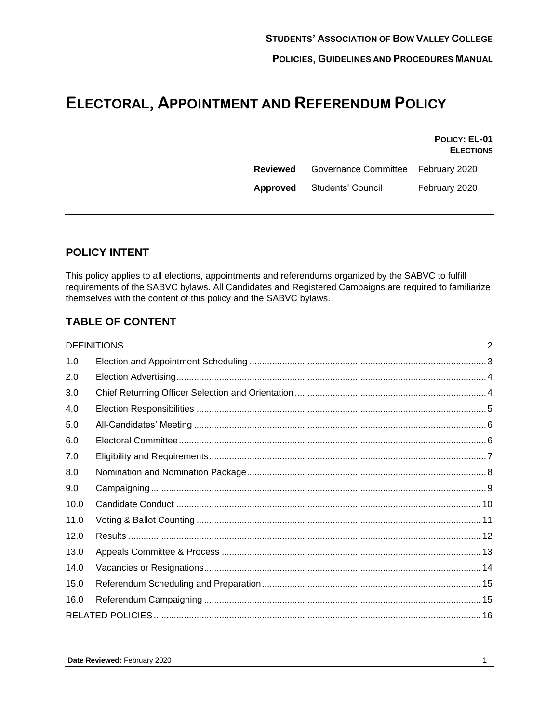# **ELECTORAL, APPOINTMENT AND REFERENDUM POLICY**

**POLICY: EL-01 ELECTIONS**

| Reviewed | Governance Committee February 2020 |               |
|----------|------------------------------------|---------------|
| Approved | Students' Council                  | February 2020 |

# **POLICY INTENT**

This policy applies to all elections, appointments and referendums organized by the SABVC to fulfill requirements of the SABVC bylaws. All Candidates and Registered Campaigns are required to familiarize themselves with the content of this policy and the SABVC bylaws.

# **TABLE OF CONTENT**

| 1.0  |  |  |
|------|--|--|
| 2.0  |  |  |
| 3.0  |  |  |
| 4.0  |  |  |
| 5.0  |  |  |
| 6.0  |  |  |
| 7.0  |  |  |
| 8.0  |  |  |
| 9.0  |  |  |
| 10.0 |  |  |
| 11.0 |  |  |
| 12.0 |  |  |
| 13.0 |  |  |
| 14.0 |  |  |
| 15.0 |  |  |
| 16.0 |  |  |
|      |  |  |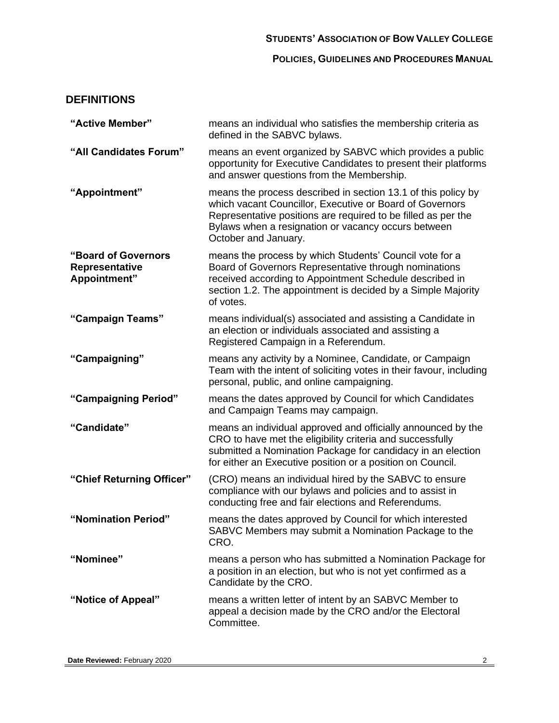## **STUDENTS' ASSOCIATION OF BOW VALLEY COLLEGE**

**POLICIES, GUIDELINES AND PROCEDURES MANUAL**

# <span id="page-1-0"></span>**DEFINITIONS**

| "Active Member"                                       | means an individual who satisfies the membership criteria as<br>defined in the SABVC bylaws.                                                                                                                                                                              |
|-------------------------------------------------------|---------------------------------------------------------------------------------------------------------------------------------------------------------------------------------------------------------------------------------------------------------------------------|
| "All Candidates Forum"                                | means an event organized by SABVC which provides a public<br>opportunity for Executive Candidates to present their platforms<br>and answer questions from the Membership.                                                                                                 |
| "Appointment"                                         | means the process described in section 13.1 of this policy by<br>which vacant Councillor, Executive or Board of Governors<br>Representative positions are required to be filled as per the<br>Bylaws when a resignation or vacancy occurs between<br>October and January. |
| "Board of Governors<br>Representative<br>Appointment" | means the process by which Students' Council vote for a<br>Board of Governors Representative through nominations<br>received according to Appointment Schedule described in<br>section 1.2. The appointment is decided by a Simple Majority<br>of votes.                  |
| "Campaign Teams"                                      | means individual(s) associated and assisting a Candidate in<br>an election or individuals associated and assisting a<br>Registered Campaign in a Referendum.                                                                                                              |
| "Campaigning"                                         | means any activity by a Nominee, Candidate, or Campaign<br>Team with the intent of soliciting votes in their favour, including<br>personal, public, and online campaigning.                                                                                               |
| "Campaigning Period"                                  | means the dates approved by Council for which Candidates<br>and Campaign Teams may campaign.                                                                                                                                                                              |
| "Candidate"                                           | means an individual approved and officially announced by the<br>CRO to have met the eligibility criteria and successfully<br>submitted a Nomination Package for candidacy in an election<br>for either an Executive position or a position on Council.                    |
| "Chief Returning Officer"                             | (CRO) means an individual hired by the SABVC to ensure<br>compliance with our bylaws and policies and to assist in<br>conducting free and fair elections and Referendums.                                                                                                 |
| "Nomination Period"                                   | means the dates approved by Council for which interested<br>SABVC Members may submit a Nomination Package to the<br>CRO.                                                                                                                                                  |
| "Nominee"                                             | means a person who has submitted a Nomination Package for<br>a position in an election, but who is not yet confirmed as a<br>Candidate by the CRO.                                                                                                                        |
| "Notice of Appeal"                                    | means a written letter of intent by an SABVC Member to<br>appeal a decision made by the CRO and/or the Electoral<br>Committee.                                                                                                                                            |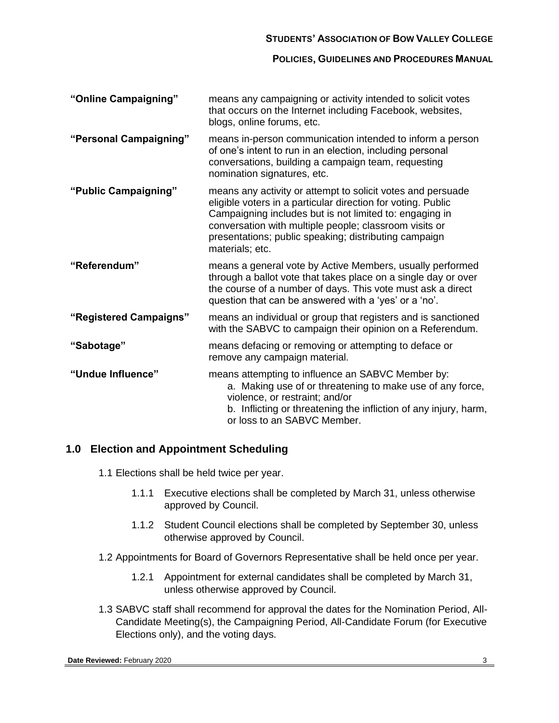## **STUDENTS' ASSOCIATION OF BOW VALLEY COLLEGE**

#### **POLICIES, GUIDELINES AND PROCEDURES MANUAL**

| "Online Campaigning"   | means any campaigning or activity intended to solicit votes<br>that occurs on the Internet including Facebook, websites,<br>blogs, online forums, etc.                                                                                                                                                                       |
|------------------------|------------------------------------------------------------------------------------------------------------------------------------------------------------------------------------------------------------------------------------------------------------------------------------------------------------------------------|
| "Personal Campaigning" | means in-person communication intended to inform a person<br>of one's intent to run in an election, including personal<br>conversations, building a campaign team, requesting<br>nomination signatures, etc.                                                                                                                 |
| "Public Campaigning"   | means any activity or attempt to solicit votes and persuade<br>eligible voters in a particular direction for voting. Public<br>Campaigning includes but is not limited to: engaging in<br>conversation with multiple people; classroom visits or<br>presentations; public speaking; distributing campaign<br>materials; etc. |
| "Referendum"           | means a general vote by Active Members, usually performed<br>through a ballot vote that takes place on a single day or over<br>the course of a number of days. This vote must ask a direct<br>question that can be answered with a 'yes' or a 'no'.                                                                          |
| "Registered Campaigns" | means an individual or group that registers and is sanctioned<br>with the SABVC to campaign their opinion on a Referendum.                                                                                                                                                                                                   |
| "Sabotage"             | means defacing or removing or attempting to deface or<br>remove any campaign material.                                                                                                                                                                                                                                       |
| "Undue Influence"      | means attempting to influence an SABVC Member by:<br>a. Making use of or threatening to make use of any force,<br>violence, or restraint; and/or<br>b. Inflicting or threatening the infliction of any injury, harm,<br>or loss to an SABVC Member.                                                                          |

# <span id="page-2-0"></span>**1.0 Election and Appointment Scheduling**

- 1.1 Elections shall be held twice per year.
	- 1.1.1 Executive elections shall be completed by March 31, unless otherwise approved by Council.
	- 1.1.2 Student Council elections shall be completed by September 30, unless otherwise approved by Council.
- <span id="page-2-1"></span>1.2 Appointments for Board of Governors Representative shall be held once per year.
	- 1.2.1 Appointment for external candidates shall be completed by March 31, unless otherwise approved by Council.
- 1.3 SABVC staff shall recommend for approval the dates for the Nomination Period, All-Candidate Meeting(s), the Campaigning Period, All-Candidate Forum (for Executive Elections only), and the voting days.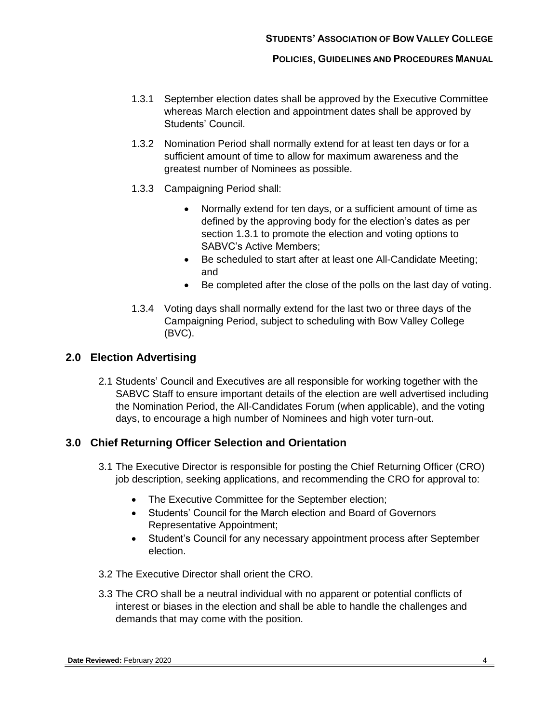- <span id="page-3-2"></span>1.3.1 September election dates shall be approved by the Executive Committee whereas March election and appointment dates shall be approved by Students' Council.
- 1.3.2 Nomination Period shall normally extend for at least ten days or for a sufficient amount of time to allow for maximum awareness and the greatest number of Nominees as possible.
- 1.3.3 Campaigning Period shall:
	- Normally extend for ten days, or a sufficient amount of time as defined by the approving body for the election's dates as per section [1.3.1](#page-3-2) to promote the election and voting options to SABVC's Active Members;
	- Be scheduled to start after at least one All-Candidate Meeting; and
	- Be completed after the close of the polls on the last day of voting.
- 1.3.4 Voting days shall normally extend for the last two or three days of the Campaigning Period, subject to scheduling with Bow Valley College (BVC).

## <span id="page-3-0"></span>**2.0 Election Advertising**

2.1 Students' Council and Executives are all responsible for working together with the SABVC Staff to ensure important details of the election are well advertised including the Nomination Period, the All-Candidates Forum (when applicable), and the voting days, to encourage a high number of Nominees and high voter turn-out.

# <span id="page-3-1"></span>**3.0 Chief Returning Officer Selection and Orientation**

- 3.1 The Executive Director is responsible for posting the Chief Returning Officer (CRO) job description, seeking applications, and recommending the CRO for approval to:
	- The Executive Committee for the September election;
	- Students' Council for the March election and Board of Governors Representative Appointment;
	- Student's Council for any necessary appointment process after September election.
- 3.2 The Executive Director shall orient the CRO.
- 3.3 The CRO shall be a neutral individual with no apparent or potential conflicts of interest or biases in the election and shall be able to handle the challenges and demands that may come with the position.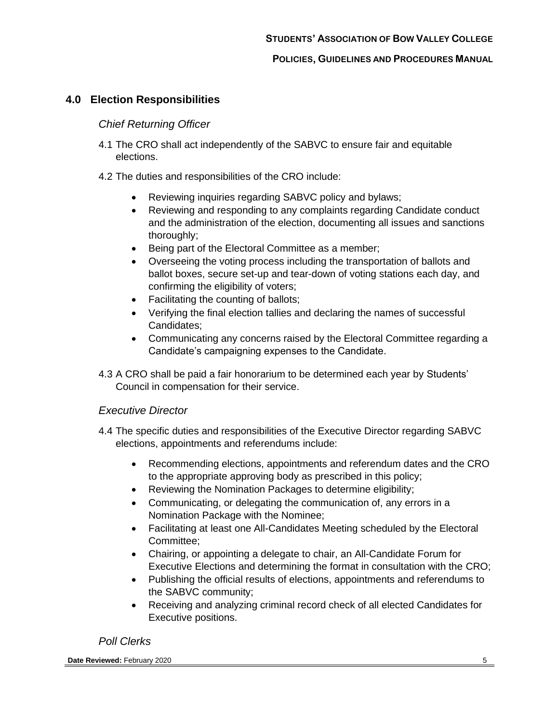## <span id="page-4-0"></span>**4.0 Election Responsibilities**

#### *Chief Returning Officer*

- 4.1 The CRO shall act independently of the SABVC to ensure fair and equitable elections.
- 4.2 The duties and responsibilities of the CRO include:
	- Reviewing inquiries regarding SABVC policy and bylaws;
	- Reviewing and responding to any complaints regarding Candidate conduct and the administration of the election, documenting all issues and sanctions thoroughly;
	- Being part of the Electoral Committee as a member;
	- Overseeing the voting process including the transportation of ballots and ballot boxes, secure set-up and tear-down of voting stations each day, and confirming the eligibility of voters;
	- Facilitating the counting of ballots;
	- Verifying the final election tallies and declaring the names of successful Candidates;
	- Communicating any concerns raised by the Electoral Committee regarding a Candidate's campaigning expenses to the Candidate.
- 4.3 A CRO shall be paid a fair honorarium to be determined each year by Students' Council in compensation for their service.

#### *Executive Director*

- 4.4 The specific duties and responsibilities of the Executive Director regarding SABVC elections, appointments and referendums include:
	- Recommending elections, appointments and referendum dates and the CRO to the appropriate approving body as prescribed in this policy;
	- Reviewing the Nomination Packages to determine eligibility;
	- Communicating, or delegating the communication of, any errors in a Nomination Package with the Nominee;
	- Facilitating at least one All-Candidates Meeting scheduled by the Electoral Committee;
	- Chairing, or appointing a delegate to chair, an All-Candidate Forum for Executive Elections and determining the format in consultation with the CRO;
	- Publishing the official results of elections, appointments and referendums to the SABVC community;
	- Receiving and analyzing criminal record check of all elected Candidates for Executive positions.

## *Poll Clerks*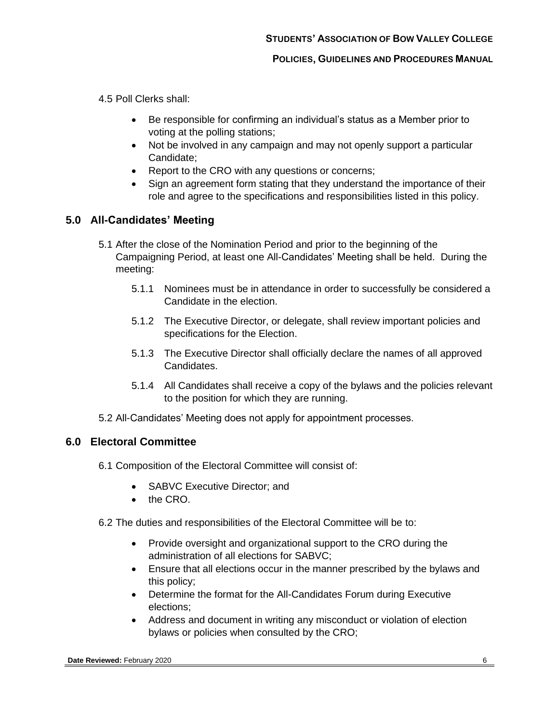4.5 Poll Clerks shall:

- Be responsible for confirming an individual's status as a Member prior to voting at the polling stations;
- Not be involved in any campaign and may not openly support a particular Candidate;
- Report to the CRO with any questions or concerns;
- Sign an agreement form stating that they understand the importance of their role and agree to the specifications and responsibilities listed in this policy.

## <span id="page-5-0"></span>**5.0 All-Candidates' Meeting**

- 5.1 After the close of the Nomination Period and prior to the beginning of the Campaigning Period, at least one All-Candidates' Meeting shall be held. During the meeting:
	- 5.1.1 Nominees must be in attendance in order to successfully be considered a Candidate in the election.
	- 5.1.2 The Executive Director, or delegate, shall review important policies and specifications for the Election.
	- 5.1.3 The Executive Director shall officially declare the names of all approved Candidates.
	- 5.1.4 All Candidates shall receive a copy of the bylaws and the policies relevant to the position for which they are running.
- 5.2 All-Candidates' Meeting does not apply for appointment processes.

## <span id="page-5-1"></span>**6.0 Electoral Committee**

- 6.1 Composition of the Electoral Committee will consist of:
	- SABVC Executive Director; and
	- the CRO.
- 6.2 The duties and responsibilities of the Electoral Committee will be to:
	- Provide oversight and organizational support to the CRO during the administration of all elections for SABVC;
	- Ensure that all elections occur in the manner prescribed by the bylaws and this policy;
	- Determine the format for the All-Candidates Forum during Executive elections;
	- Address and document in writing any misconduct or violation of election bylaws or policies when consulted by the CRO;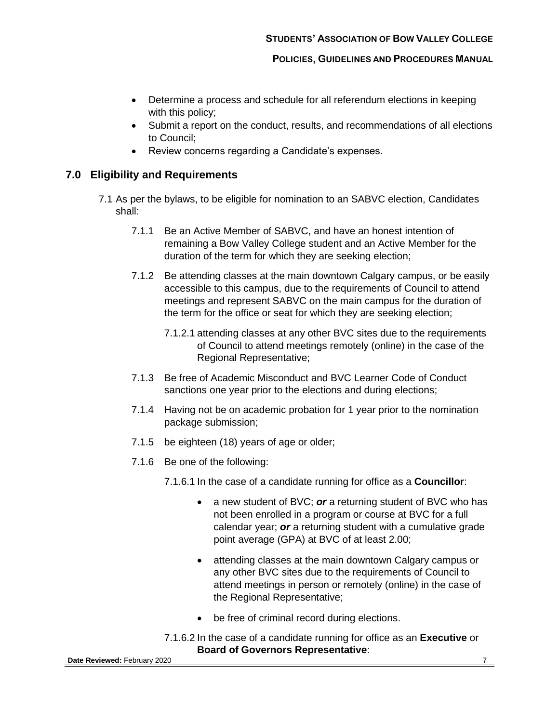- Determine a process and schedule for all referendum elections in keeping with this policy;
- Submit a report on the conduct, results, and recommendations of all elections to Council;
- Review concerns regarding a Candidate's expenses.

## <span id="page-6-1"></span><span id="page-6-0"></span>**7.0 Eligibility and Requirements**

- 7.1 As per the bylaws, to be eligible for nomination to an SABVC election, Candidates shall:
	- 7.1.1 Be an Active Member of SABVC, and have an honest intention of remaining a Bow Valley College student and an Active Member for the duration of the term for which they are seeking election;
	- 7.1.2 Be attending classes at the main downtown Calgary campus, or be easily accessible to this campus, due to the requirements of Council to attend meetings and represent SABVC on the main campus for the duration of the term for the office or seat for which they are seeking election;
		- 7.1.2.1 attending classes at any other BVC sites due to the requirements of Council to attend meetings remotely (online) in the case of the Regional Representative;
	- 7.1.3 Be free of Academic Misconduct and BVC Learner Code of Conduct sanctions one year prior to the elections and during elections;
	- 7.1.4 Having not be on academic probation for 1 year prior to the nomination package submission;
	- 7.1.5 be eighteen (18) years of age or older;
	- 7.1.6 Be one of the following:

7.1.6.1 In the case of a candidate running for office as a **Councillor**:

- a new student of BVC; or a returning student of BVC who has not been enrolled in a program or course at BVC for a full calendar year; *or* a returning student with a cumulative grade point average (GPA) at BVC of at least 2.00;
- attending classes at the main downtown Calgary campus or any other BVC sites due to the requirements of Council to attend meetings in person or remotely (online) in the case of the Regional Representative;
- be free of criminal record during elections.
- 7.1.6.2 In the case of a candidate running for office as an **Executive** or **Board of Governors Representative**: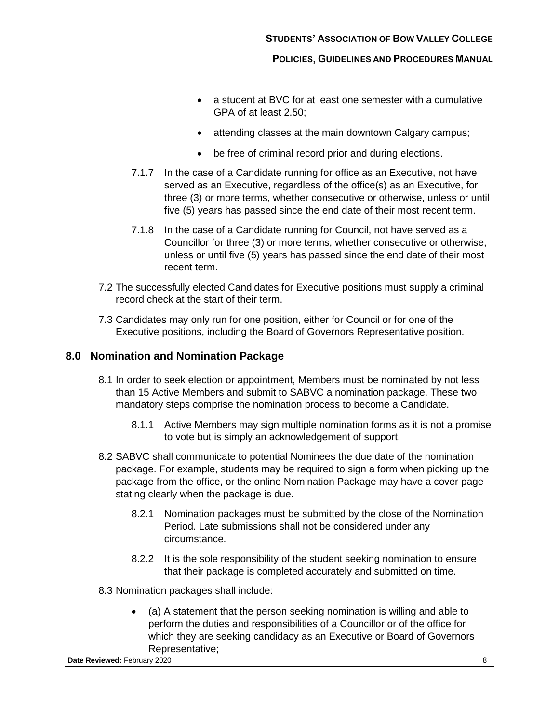- a student at BVC for at least one semester with a cumulative GPA of at least 2.50;
- attending classes at the main downtown Calgary campus;
- be free of criminal record prior and during elections.
- 7.1.7 In the case of a Candidate running for office as an Executive, not have served as an Executive, regardless of the office(s) as an Executive, for three (3) or more terms, whether consecutive or otherwise, unless or until five (5) years has passed since the end date of their most recent term.
- 7.1.8 In the case of a Candidate running for Council, not have served as a Councillor for three (3) or more terms, whether consecutive or otherwise, unless or until five (5) years has passed since the end date of their most recent term.
- 7.2 The successfully elected Candidates for Executive positions must supply a criminal record check at the start of their term.
- 7.3 Candidates may only run for one position, either for Council or for one of the Executive positions, including the Board of Governors Representative position.

## <span id="page-7-0"></span>**8.0 Nomination and Nomination Package**

- 8.1 In order to seek election or appointment, Members must be nominated by not less than 15 Active Members and submit to SABVC a nomination package. These two mandatory steps comprise the nomination process to become a Candidate.
	- 8.1.1 Active Members may sign multiple nomination forms as it is not a promise to vote but is simply an acknowledgement of support.
- 8.2 SABVC shall communicate to potential Nominees the due date of the nomination package. For example, students may be required to sign a form when picking up the package from the office, or the online Nomination Package may have a cover page stating clearly when the package is due.
	- 8.2.1 Nomination packages must be submitted by the close of the Nomination Period. Late submissions shall not be considered under any circumstance.
	- 8.2.2 It is the sole responsibility of the student seeking nomination to ensure that their package is completed accurately and submitted on time.

8.3 Nomination packages shall include:

• (a) A statement that the person seeking nomination is willing and able to perform the duties and responsibilities of a Councillor or of the office for which they are seeking candidacy as an Executive or Board of Governors Representative;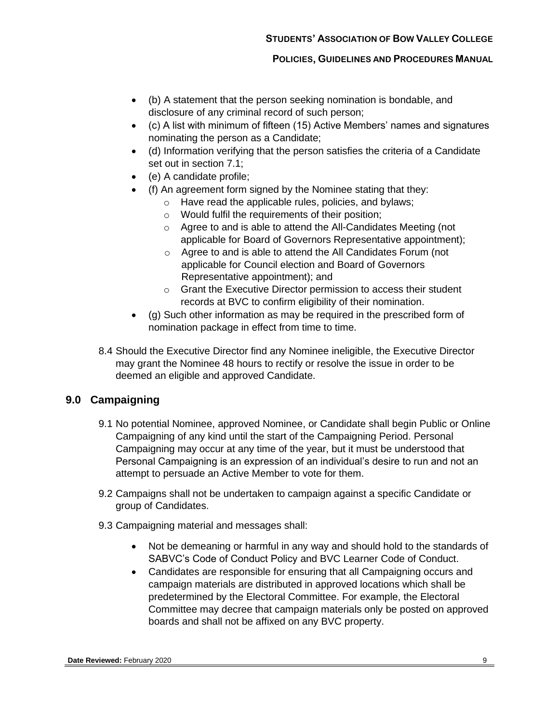- (b) A statement that the person seeking nomination is bondable, and disclosure of any criminal record of such person;
- (c) A list with minimum of fifteen (15) Active Members' names and signatures nominating the person as a Candidate;
- (d) Information verifying that the person satisfies the criteria of a Candidate set out in section [7.1;](#page-6-1)
- (e) A candidate profile;
- (f) An agreement form signed by the Nominee stating that they:
	- o Have read the applicable rules, policies, and bylaws;
	- o Would fulfil the requirements of their position;
	- o Agree to and is able to attend the All-Candidates Meeting (not applicable for Board of Governors Representative appointment);
	- o Agree to and is able to attend the All Candidates Forum (not applicable for Council election and Board of Governors Representative appointment); and
	- o Grant the Executive Director permission to access their student records at BVC to confirm eligibility of their nomination.
- (g) Such other information as may be required in the prescribed form of nomination package in effect from time to time.
- 8.4 Should the Executive Director find any Nominee ineligible, the Executive Director may grant the Nominee 48 hours to rectify or resolve the issue in order to be deemed an eligible and approved Candidate.

# <span id="page-8-0"></span>**9.0 Campaigning**

- 9.1 No potential Nominee, approved Nominee, or Candidate shall begin Public or Online Campaigning of any kind until the start of the Campaigning Period. Personal Campaigning may occur at any time of the year, but it must be understood that Personal Campaigning is an expression of an individual's desire to run and not an attempt to persuade an Active Member to vote for them.
- 9.2 Campaigns shall not be undertaken to campaign against a specific Candidate or group of Candidates.
- <span id="page-8-1"></span>9.3 Campaigning material and messages shall:
	- Not be demeaning or harmful in any way and should hold to the standards of SABVC's Code of Conduct Policy and BVC Learner Code of Conduct.
	- Candidates are responsible for ensuring that all Campaigning occurs and campaign materials are distributed in approved locations which shall be predetermined by the Electoral Committee. For example, the Electoral Committee may decree that campaign materials only be posted on approved boards and shall not be affixed on any BVC property.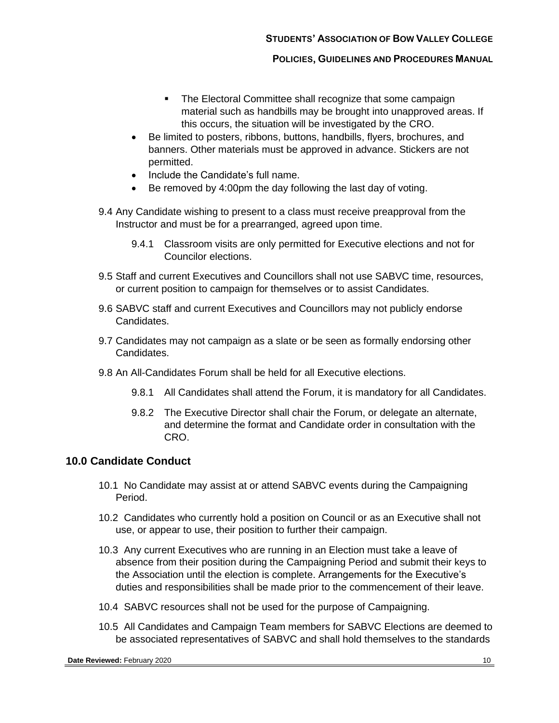- The Electoral Committee shall recognize that some campaign material such as handbills may be brought into unapproved areas. If this occurs, the situation will be investigated by the CRO.
- Be limited to posters, ribbons, buttons, handbills, flyers, brochures, and banners. Other materials must be approved in advance. Stickers are not permitted.
- Include the Candidate's full name.
- Be removed by 4:00pm the day following the last day of voting.
- 9.4 Any Candidate wishing to present to a class must receive preapproval from the Instructor and must be for a prearranged, agreed upon time.
	- 9.4.1 Classroom visits are only permitted for Executive elections and not for Councilor elections.
- 9.5 Staff and current Executives and Councillors shall not use SABVC time, resources, or current position to campaign for themselves or to assist Candidates.
- 9.6 SABVC staff and current Executives and Councillors may not publicly endorse Candidates.
- 9.7 Candidates may not campaign as a slate or be seen as formally endorsing other Candidates.
- 9.8 An All-Candidates Forum shall be held for all Executive elections.
	- 9.8.1 All Candidates shall attend the Forum, it is mandatory for all Candidates.
	- 9.8.2 The Executive Director shall chair the Forum, or delegate an alternate, and determine the format and Candidate order in consultation with the CRO.

## <span id="page-9-0"></span>**10.0 Candidate Conduct**

- 10.1 No Candidate may assist at or attend SABVC events during the Campaigning Period.
- 10.2 Candidates who currently hold a position on Council or as an Executive shall not use, or appear to use, their position to further their campaign.
- 10.3 Any current Executives who are running in an Election must take a leave of absence from their position during the Campaigning Period and submit their keys to the Association until the election is complete. Arrangements for the Executive's duties and responsibilities shall be made prior to the commencement of their leave.
- 10.4 SABVC resources shall not be used for the purpose of Campaigning.
- 10.5 All Candidates and Campaign Team members for SABVC Elections are deemed to be associated representatives of SABVC and shall hold themselves to the standards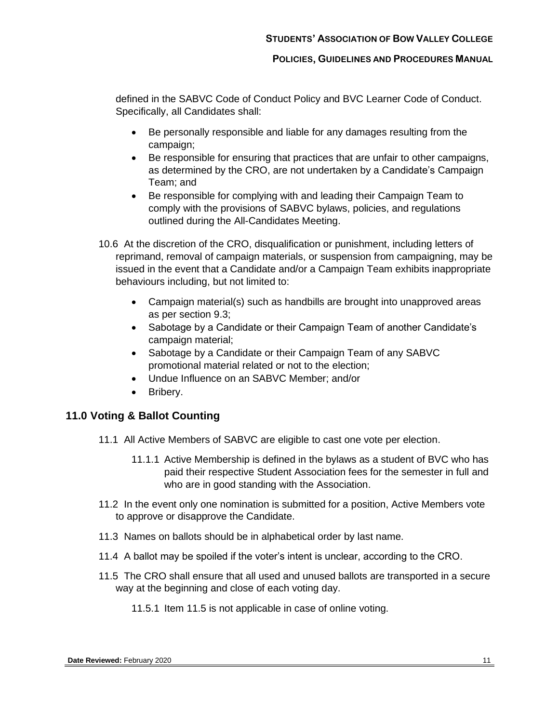defined in the SABVC Code of Conduct Policy and BVC Learner Code of Conduct. Specifically, all Candidates shall:

- Be personally responsible and liable for any damages resulting from the campaign;
- Be responsible for ensuring that practices that are unfair to other campaigns, as determined by the CRO, are not undertaken by a Candidate's Campaign Team; and
- Be responsible for complying with and leading their Campaign Team to comply with the provisions of SABVC bylaws, policies, and regulations outlined during the All-Candidates Meeting.
- 10.6 At the discretion of the CRO, disqualification or punishment, including letters of reprimand, removal of campaign materials, or suspension from campaigning, may be issued in the event that a Candidate and/or a Campaign Team exhibits inappropriate behaviours including, but not limited to:
	- Campaign material(s) such as handbills are brought into unapproved areas as per section [9.3;](#page-8-1)
	- Sabotage by a Candidate or their Campaign Team of another Candidate's campaign material;
	- Sabotage by a Candidate or their Campaign Team of any SABVC promotional material related or not to the election;
	- Undue Influence on an SABVC Member; and/or
	- Bribery.

# <span id="page-10-0"></span>**11.0 Voting & Ballot Counting**

- 11.1 All Active Members of SABVC are eligible to cast one vote per election.
	- 11.1.1 Active Membership is defined in the bylaws as a student of BVC who has paid their respective Student Association fees for the semester in full and who are in good standing with the Association.
- 11.2 In the event only one nomination is submitted for a position, Active Members vote to approve or disapprove the Candidate.
- 11.3 Names on ballots should be in alphabetical order by last name.
- 11.4 A ballot may be spoiled if the voter's intent is unclear, according to the CRO.
- <span id="page-10-1"></span>11.5 The CRO shall ensure that all used and unused ballots are transported in a secure way at the beginning and close of each voting day.
	- 11.5.1 Item [11.5](#page-10-1) is not applicable in case of online voting.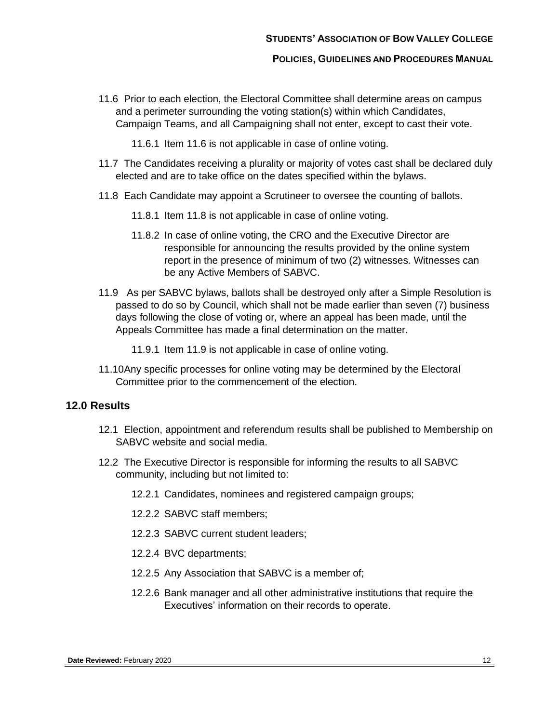#### **STUDENTS' ASSOCIATION OF BOW VALLEY COLLEGE**

#### **POLICIES, GUIDELINES AND PROCEDURES MANUAL**

<span id="page-11-1"></span>11.6 Prior to each election, the Electoral Committee shall determine areas on campus and a perimeter surrounding the voting station(s) within which Candidates, Campaign Teams, and all Campaigning shall not enter, except to cast their vote.

11.6.1 Item [11.6](#page-11-1) is not applicable in case of online voting.

- 11.7 The Candidates receiving a plurality or majority of votes cast shall be declared duly elected and are to take office on the dates specified within the bylaws.
- <span id="page-11-2"></span>11.8 Each Candidate may appoint a Scrutineer to oversee the counting of ballots.
	- 11.8.1 Item [11.8](#page-11-2) is not applicable in case of online voting.
	- 11.8.2 In case of online voting, the CRO and the Executive Director are responsible for announcing the results provided by the online system report in the presence of minimum of two (2) witnesses. Witnesses can be any Active Members of SABVC.
- <span id="page-11-3"></span>11.9 As per SABVC bylaws, ballots shall be destroyed only after a Simple Resolution is passed to do so by Council, which shall not be made earlier than seven (7) business days following the close of voting or, where an appeal has been made, until the Appeals Committee has made a final determination on the matter.

11.9.1 Item [11.9](#page-11-3) is not applicable in case of online voting.

11.10Any specific processes for online voting may be determined by the Electoral Committee prior to the commencement of the election.

## <span id="page-11-0"></span>**12.0 Results**

- 12.1 Election, appointment and referendum results shall be published to Membership on SABVC website and social media.
- 12.2 The Executive Director is responsible for informing the results to all SABVC community, including but not limited to:
	- 12.2.1 Candidates, nominees and registered campaign groups;
	- 12.2.2 SABVC staff members;
	- 12.2.3 SABVC current student leaders;
	- 12.2.4 BVC departments;
	- 12.2.5 Any Association that SABVC is a member of;
	- 12.2.6 Bank manager and all other administrative institutions that require the Executives' information on their records to operate.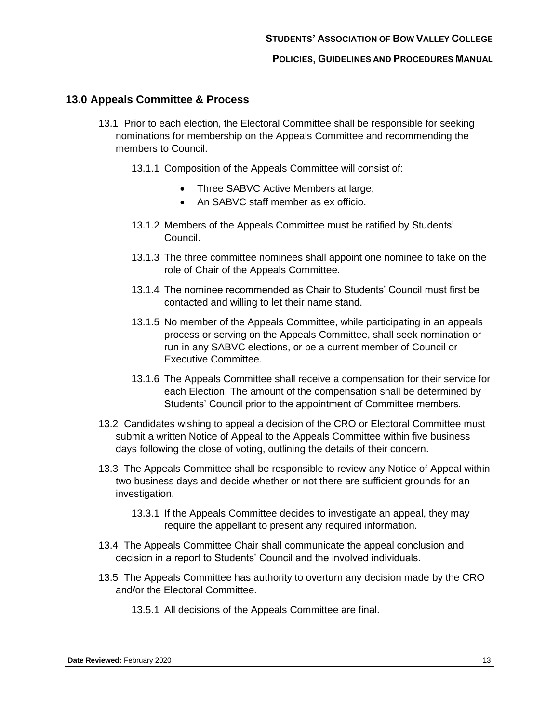## <span id="page-12-1"></span><span id="page-12-0"></span>**13.0 Appeals Committee & Process**

- 13.1 Prior to each election, the Electoral Committee shall be responsible for seeking nominations for membership on the Appeals Committee and recommending the members to Council.
	- 13.1.1 Composition of the Appeals Committee will consist of:
		- Three SABVC Active Members at large;
		- An SABVC staff member as ex officio.
	- 13.1.2 Members of the Appeals Committee must be ratified by Students' Council.
	- 13.1.3 The three committee nominees shall appoint one nominee to take on the role of Chair of the Appeals Committee.
	- 13.1.4 The nominee recommended as Chair to Students' Council must first be contacted and willing to let their name stand.
	- 13.1.5 No member of the Appeals Committee, while participating in an appeals process or serving on the Appeals Committee, shall seek nomination or run in any SABVC elections, or be a current member of Council or Executive Committee.
	- 13.1.6 The Appeals Committee shall receive a compensation for their service for each Election. The amount of the compensation shall be determined by Students' Council prior to the appointment of Committee members.
- 13.2 Candidates wishing to appeal a decision of the CRO or Electoral Committee must submit a written Notice of Appeal to the Appeals Committee within five business days following the close of voting, outlining the details of their concern.
- 13.3 The Appeals Committee shall be responsible to review any Notice of Appeal within two business days and decide whether or not there are sufficient grounds for an investigation.
	- 13.3.1 If the Appeals Committee decides to investigate an appeal, they may require the appellant to present any required information.
- 13.4 The Appeals Committee Chair shall communicate the appeal conclusion and decision in a report to Students' Council and the involved individuals.
- 13.5 The Appeals Committee has authority to overturn any decision made by the CRO and/or the Electoral Committee.
	- 13.5.1 All decisions of the Appeals Committee are final.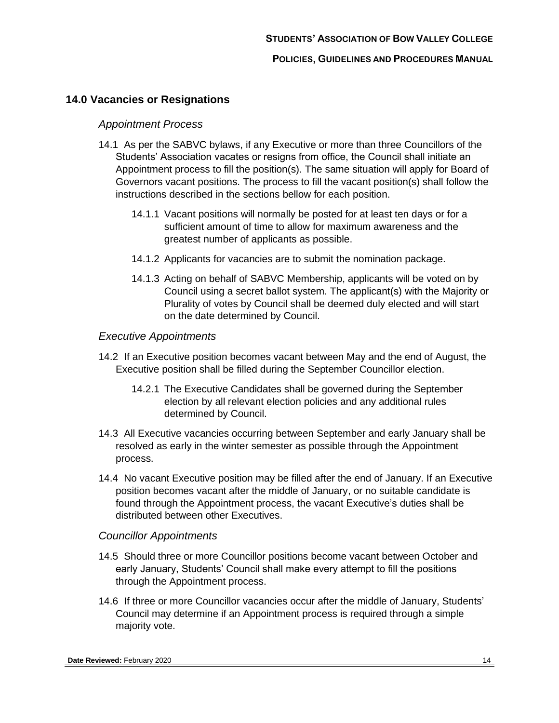# <span id="page-13-0"></span>**14.0 Vacancies or Resignations**

## *Appointment Process*

- <span id="page-13-1"></span>14.1 As per the SABVC bylaws, if any Executive or more than three Councillors of the Students' Association vacates or resigns from office, the Council shall initiate an Appointment process to fill the position(s). The same situation will apply for Board of Governors vacant positions. The process to fill the vacant position(s) shall follow the instructions described in the sections bellow for each position.
	- 14.1.1 Vacant positions will normally be posted for at least ten days or for a sufficient amount of time to allow for maximum awareness and the greatest number of applicants as possible.
	- 14.1.2 Applicants for vacancies are to submit the nomination package.
	- 14.1.3 Acting on behalf of SABVC Membership, applicants will be voted on by Council using a secret ballot system. The applicant(s) with the Majority or Plurality of votes by Council shall be deemed duly elected and will start on the date determined by Council.

## *Executive Appointments*

- 14.2 If an Executive position becomes vacant between May and the end of August, the Executive position shall be filled during the September Councillor election.
	- 14.2.1 The Executive Candidates shall be governed during the September election by all relevant election policies and any additional rules determined by Council.
- 14.3 All Executive vacancies occurring between September and early January shall be resolved as early in the winter semester as possible through the Appointment process.
- 14.4 No vacant Executive position may be filled after the end of January. If an Executive position becomes vacant after the middle of January, or no suitable candidate is found through the Appointment process, the vacant Executive's duties shall be distributed between other Executives.

# *Councillor Appointments*

- 14.5 Should three or more Councillor positions become vacant between October and early January, Students' Council shall make every attempt to fill the positions through the Appointment process.
- 14.6 If three or more Councillor vacancies occur after the middle of January, Students' Council may determine if an Appointment process is required through a simple majority vote.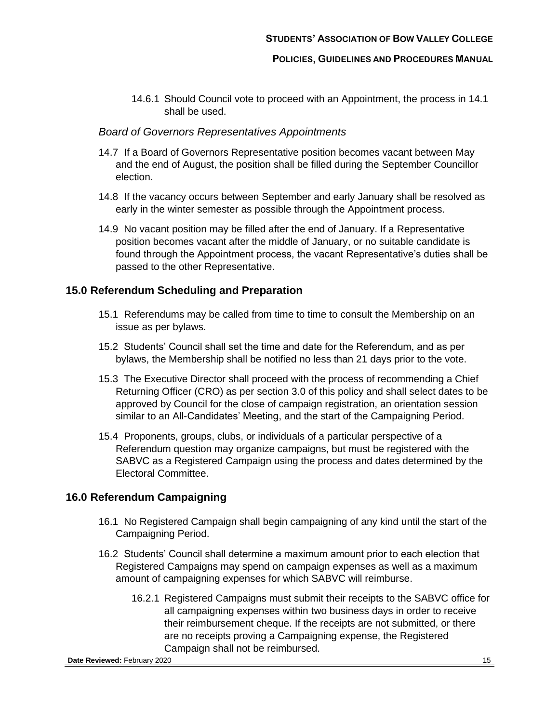14.6.1 Should Council vote to proceed with an Appointment, the process in [14.1](#page-13-1) shall be used.

#### *Board of Governors Representatives Appointments*

- 14.7 If a Board of Governors Representative position becomes vacant between May and the end of August, the position shall be filled during the September Councillor election.
- 14.8 If the vacancy occurs between September and early January shall be resolved as early in the winter semester as possible through the Appointment process.
- 14.9 No vacant position may be filled after the end of January. If a Representative position becomes vacant after the middle of January, or no suitable candidate is found through the Appointment process, the vacant Representative's duties shall be passed to the other Representative.

## <span id="page-14-0"></span>**15.0 Referendum Scheduling and Preparation**

- 15.1 Referendums may be called from time to time to consult the Membership on an issue as per bylaws.
- 15.2 Students' Council shall set the time and date for the Referendum, and as per bylaws, the Membership shall be notified no less than 21 days prior to the vote.
- 15.3 The Executive Director shall proceed with the process of recommending a Chief Returning Officer (CRO) as per section [3.0](#page-3-1) of this policy and shall select dates to be approved by Council for the close of campaign registration, an orientation session similar to an All-Candidates' Meeting, and the start of the Campaigning Period.
- 15.4 Proponents, groups, clubs, or individuals of a particular perspective of a Referendum question may organize campaigns, but must be registered with the SABVC as a Registered Campaign using the process and dates determined by the Electoral Committee.

## <span id="page-14-1"></span>**16.0 Referendum Campaigning**

- 16.1 No Registered Campaign shall begin campaigning of any kind until the start of the Campaigning Period.
- 16.2 Students' Council shall determine a maximum amount prior to each election that Registered Campaigns may spend on campaign expenses as well as a maximum amount of campaigning expenses for which SABVC will reimburse.
	- 16.2.1 Registered Campaigns must submit their receipts to the SABVC office for all campaigning expenses within two business days in order to receive their reimbursement cheque. If the receipts are not submitted, or there are no receipts proving a Campaigning expense, the Registered Campaign shall not be reimbursed.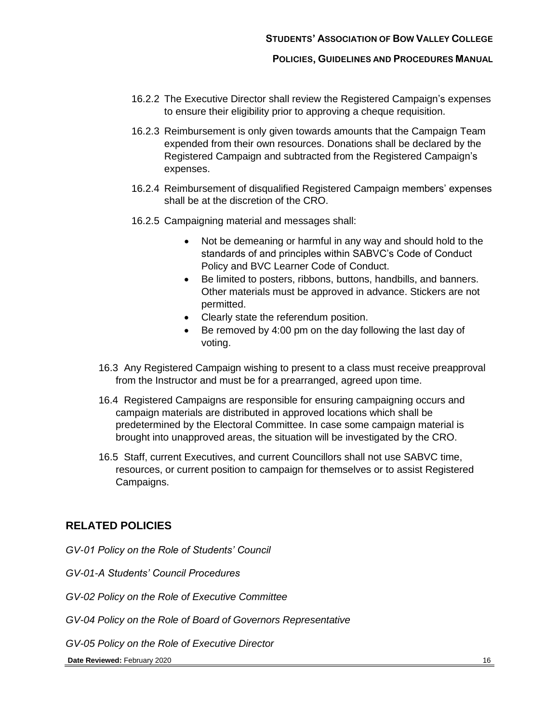- 16.2.2 The Executive Director shall review the Registered Campaign's expenses to ensure their eligibility prior to approving a cheque requisition.
- 16.2.3 Reimbursement is only given towards amounts that the Campaign Team expended from their own resources. Donations shall be declared by the Registered Campaign and subtracted from the Registered Campaign's expenses.
- 16.2.4 Reimbursement of disqualified Registered Campaign members' expenses shall be at the discretion of the CRO.
- 16.2.5 Campaigning material and messages shall:
	- Not be demeaning or harmful in any way and should hold to the standards of and principles within SABVC's Code of Conduct Policy and BVC Learner Code of Conduct.
	- Be limited to posters, ribbons, buttons, handbills, and banners. Other materials must be approved in advance. Stickers are not permitted.
	- Clearly state the referendum position.
	- Be removed by 4:00 pm on the day following the last day of voting.
- 16.3 Any Registered Campaign wishing to present to a class must receive preapproval from the Instructor and must be for a prearranged, agreed upon time.
- 16.4 Registered Campaigns are responsible for ensuring campaigning occurs and campaign materials are distributed in approved locations which shall be predetermined by the Electoral Committee. In case some campaign material is brought into unapproved areas, the situation will be investigated by the CRO.
- 16.5 Staff, current Executives, and current Councillors shall not use SABVC time, resources, or current position to campaign for themselves or to assist Registered Campaigns.

## <span id="page-15-0"></span>**RELATED POLICIES**

*GV-01 Policy on the Role of Students' Council* 

*GV-01-A Students' Council Procedures*

*GV-02 Policy on the Role of Executive Committee*

*GV-04 Policy on the Role of Board of Governors Representative*

*GV-05 Policy on the Role of Executive Director*

#### **Date Reviewed:** February 2020 16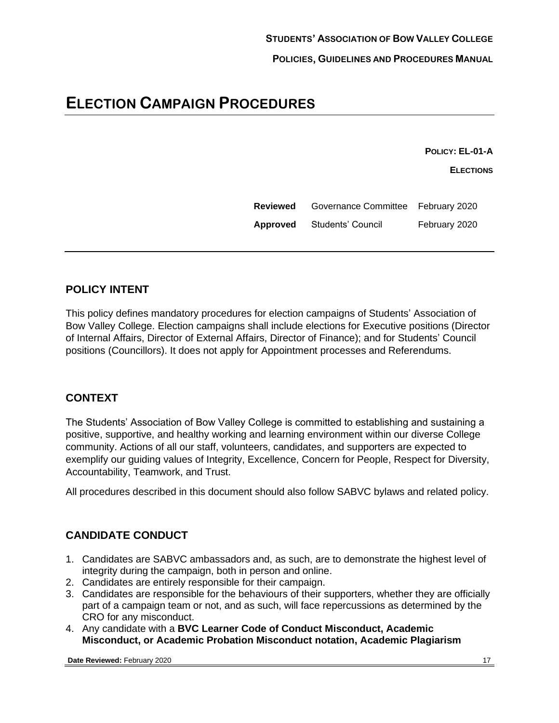# **ELECTION CAMPAIGN PROCEDURES**

**POLICY: EL-01-A**

**ELECTIONS**

**Reviewed** Governance Committee February 2020 **Approved** Students' Council February 2020

# **POLICY INTENT**

This policy defines mandatory procedures for election campaigns of Students' Association of Bow Valley College. Election campaigns shall include elections for Executive positions (Director of Internal Affairs, Director of External Affairs, Director of Finance); and for Students' Council positions (Councillors). It does not apply for Appointment processes and Referendums.

# **CONTEXT**

The Students' Association of Bow Valley College is committed to establishing and sustaining a positive, supportive, and healthy working and learning environment within our diverse College community. Actions of all our staff, volunteers, candidates, and supporters are expected to exemplify our guiding values of Integrity, Excellence, Concern for People, Respect for Diversity, Accountability, Teamwork, and Trust.

All procedures described in this document should also follow SABVC bylaws and related policy.

# **CANDIDATE CONDUCT**

- 1. Candidates are SABVC ambassadors and, as such, are to demonstrate the highest level of integrity during the campaign, both in person and online.
- 2. Candidates are entirely responsible for their campaign.
- 3. Candidates are responsible for the behaviours of their supporters, whether they are officially part of a campaign team or not, and as such, will face repercussions as determined by the CRO for any misconduct.
- 4. Any candidate with a **BVC Learner Code of Conduct Misconduct, Academic Misconduct, or Academic Probation Misconduct notation, Academic Plagiarism**

**Date Reviewed:** February 2020 17 17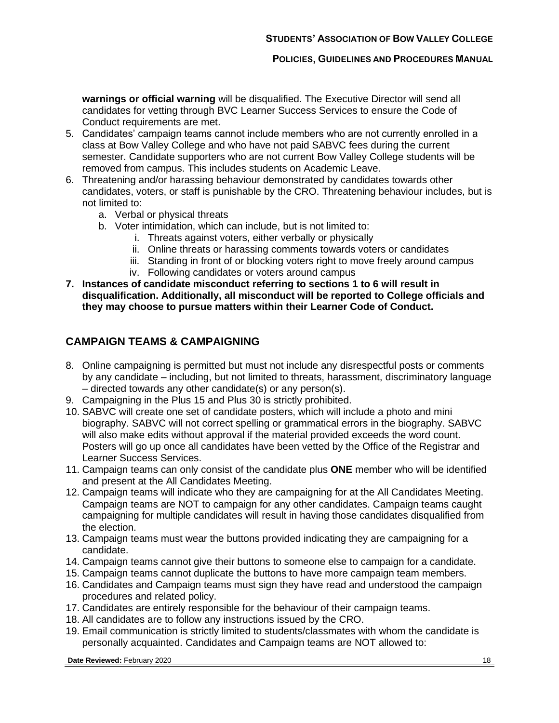**warnings or official warning** will be disqualified. The Executive Director will send all candidates for vetting through BVC Learner Success Services to ensure the Code of Conduct requirements are met.

- 5. Candidates' campaign teams cannot include members who are not currently enrolled in a class at Bow Valley College and who have not paid SABVC fees during the current semester. Candidate supporters who are not current Bow Valley College students will be removed from campus. This includes students on Academic Leave.
- 6. Threatening and/or harassing behaviour demonstrated by candidates towards other candidates, voters, or staff is punishable by the CRO. Threatening behaviour includes, but is not limited to:
	- a. Verbal or physical threats
	- b. Voter intimidation, which can include, but is not limited to:
		- i. Threats against voters, either verbally or physically
		- ii. Online threats or harassing comments towards voters or candidates
		- iii. Standing in front of or blocking voters right to move freely around campus
		- iv. Following candidates or voters around campus
- **7. Instances of candidate misconduct referring to sections 1 to 6 will result in disqualification. Additionally, all misconduct will be reported to College officials and they may choose to pursue matters within their Learner Code of Conduct.**

# **CAMPAIGN TEAMS & CAMPAIGNING**

- 8. Online campaigning is permitted but must not include any disrespectful posts or comments by any candidate – including, but not limited to threats, harassment, discriminatory language – directed towards any other candidate(s) or any person(s).
- 9. Campaigning in the Plus 15 and Plus 30 is strictly prohibited.
- 10. SABVC will create one set of candidate posters, which will include a photo and mini biography. SABVC will not correct spelling or grammatical errors in the biography. SABVC will also make edits without approval if the material provided exceeds the word count. Posters will go up once all candidates have been vetted by the Office of the Registrar and Learner Success Services.
- 11. Campaign teams can only consist of the candidate plus **ONE** member who will be identified and present at the All Candidates Meeting.
- 12. Campaign teams will indicate who they are campaigning for at the All Candidates Meeting. Campaign teams are NOT to campaign for any other candidates. Campaign teams caught campaigning for multiple candidates will result in having those candidates disqualified from the election.
- 13. Campaign teams must wear the buttons provided indicating they are campaigning for a candidate.
- 14. Campaign teams cannot give their buttons to someone else to campaign for a candidate.
- 15. Campaign teams cannot duplicate the buttons to have more campaign team members.
- 16. Candidates and Campaign teams must sign they have read and understood the campaign procedures and related policy.
- 17. Candidates are entirely responsible for the behaviour of their campaign teams.
- 18. All candidates are to follow any instructions issued by the CRO.
- 19. Email communication is strictly limited to students/classmates with whom the candidate is personally acquainted. Candidates and Campaign teams are NOT allowed to:

**Date Reviewed:** February 2020 18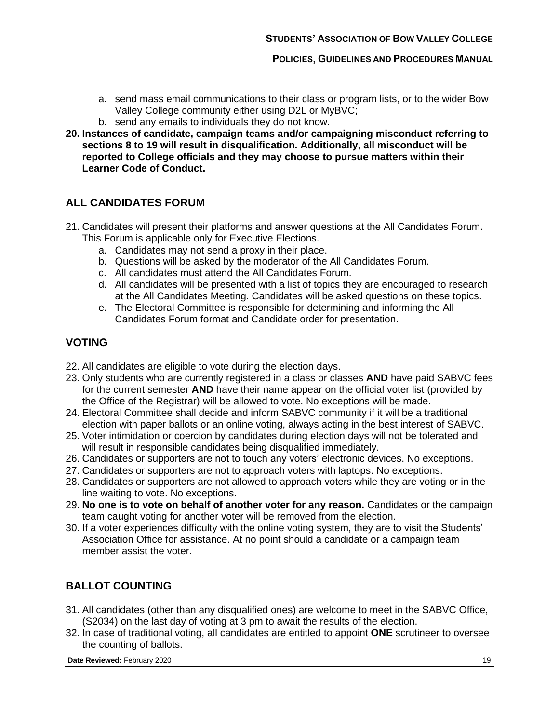- a. send mass email communications to their class or program lists, or to the wider Bow Valley College community either using D2L or MyBVC;
- b. send any emails to individuals they do not know.
- **20. Instances of candidate, campaign teams and/or campaigning misconduct referring to sections 8 to 19 will result in disqualification. Additionally, all misconduct will be reported to College officials and they may choose to pursue matters within their Learner Code of Conduct.**

# **ALL CANDIDATES FORUM**

- 21. Candidates will present their platforms and answer questions at the All Candidates Forum. This Forum is applicable only for Executive Elections.
	- a. Candidates may not send a proxy in their place.
	- b. Questions will be asked by the moderator of the All Candidates Forum.
	- c. All candidates must attend the All Candidates Forum.
	- d. All candidates will be presented with a list of topics they are encouraged to research at the All Candidates Meeting. Candidates will be asked questions on these topics.
	- e. The Electoral Committee is responsible for determining and informing the All Candidates Forum format and Candidate order for presentation.

## **VOTING**

- 22. All candidates are eligible to vote during the election days.
- 23. Only students who are currently registered in a class or classes **AND** have paid SABVC fees for the current semester **AND** have their name appear on the official voter list (provided by the Office of the Registrar) will be allowed to vote. No exceptions will be made.
- 24. Electoral Committee shall decide and inform SABVC community if it will be a traditional election with paper ballots or an online voting, always acting in the best interest of SABVC.
- 25. Voter intimidation or coercion by candidates during election days will not be tolerated and will result in responsible candidates being disqualified immediately.
- 26. Candidates or supporters are not to touch any voters' electronic devices. No exceptions.
- 27. Candidates or supporters are not to approach voters with laptops. No exceptions.
- 28. Candidates or supporters are not allowed to approach voters while they are voting or in the line waiting to vote. No exceptions.
- 29. **No one is to vote on behalf of another voter for any reason.** Candidates or the campaign team caught voting for another voter will be removed from the election.
- 30. If a voter experiences difficulty with the online voting system, they are to visit the Students' Association Office for assistance. At no point should a candidate or a campaign team member assist the voter.

# **BALLOT COUNTING**

- 31. All candidates (other than any disqualified ones) are welcome to meet in the SABVC Office, (S2034) on the last day of voting at 3 pm to await the results of the election.
- 32. In case of traditional voting, all candidates are entitled to appoint **ONE** scrutineer to oversee the counting of ballots.